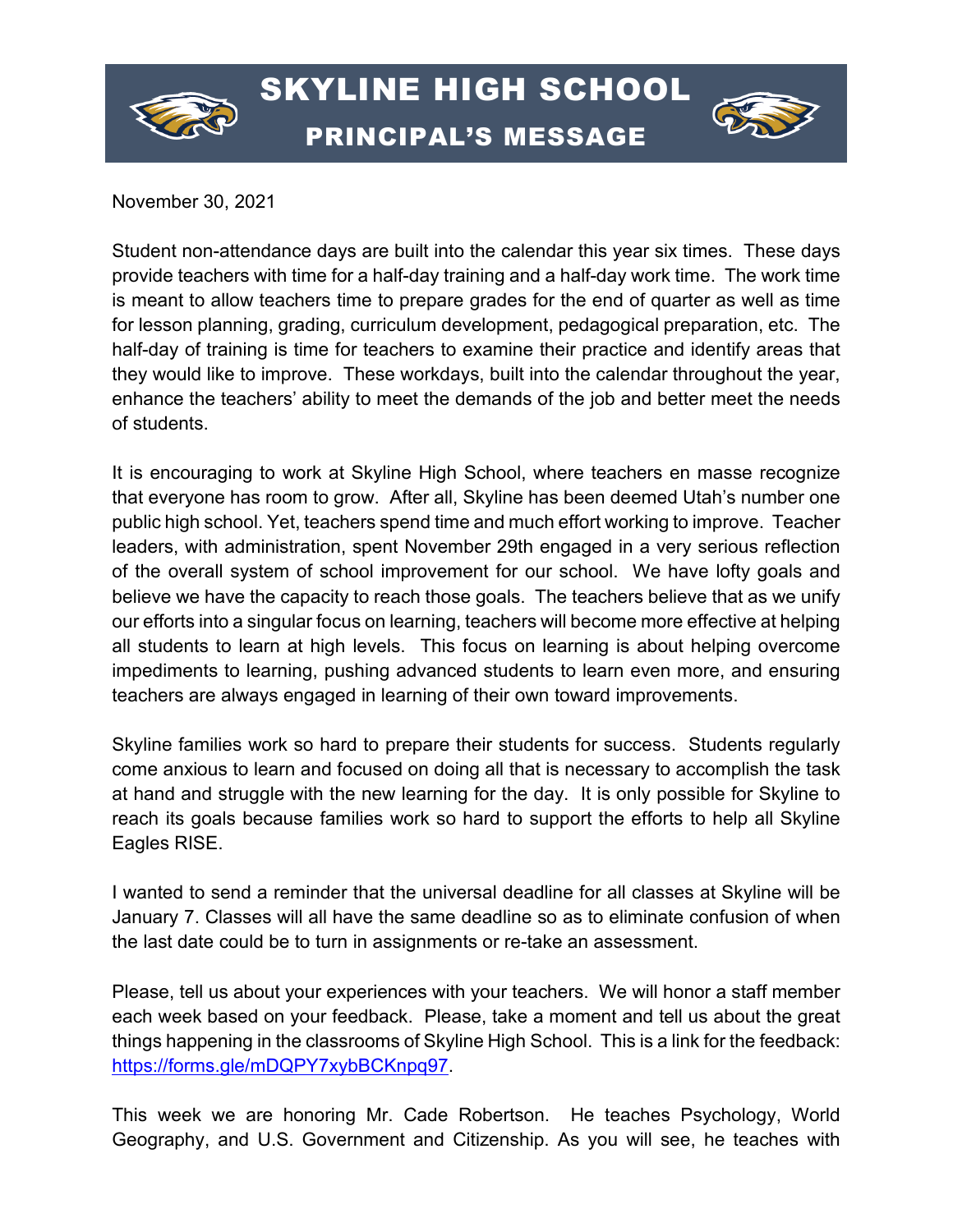

## SKYLINE HIGH SCHOOL PRINCIPAL'S MESSAGE



November 30, 2021

Student non-attendance days are built into the calendar this year six times. These days provide teachers with time for a half-day training and a half-day work time. The work time is meant to allow teachers time to prepare grades for the end of quarter as well as time for lesson planning, grading, curriculum development, pedagogical preparation, etc. The half-day of training is time for teachers to examine their practice and identify areas that they would like to improve. These workdays, built into the calendar throughout the year, enhance the teachers' ability to meet the demands of the job and better meet the needs of students.

It is encouraging to work at Skyline High School, where teachers en masse recognize that everyone has room to grow. After all, Skyline has been deemed Utah's number one public high school. Yet, teachers spend time and much effort working to improve. Teacher leaders, with administration, spent November 29th engaged in a very serious reflection of the overall system of school improvement for our school. We have lofty goals and believe we have the capacity to reach those goals. The teachers believe that as we unify our efforts into a singular focus on learning, teachers will become more effective at helping all students to learn at high levels. This focus on learning is about helping overcome impediments to learning, pushing advanced students to learn even more, and ensuring teachers are always engaged in learning of their own toward improvements.

Skyline families work so hard to prepare their students for success. Students regularly come anxious to learn and focused on doing all that is necessary to accomplish the task at hand and struggle with the new learning for the day. It is only possible for Skyline to reach its goals because families work so hard to support the efforts to help all Skyline Eagles RISE.

I wanted to send a reminder that the universal deadline for all classes at Skyline will be January 7. Classes will all have the same deadline so as to eliminate confusion of when the last date could be to turn in assignments or re-take an assessment.

Please, tell us about your experiences with your teachers. We will honor a staff member each week based on your feedback. Please, take a moment and tell us about the great things happening in the classrooms of Skyline High School. This is a link for the feedback: [https://forms.gle/mDQPY7xybBCKnpq97.](https://forms.gle/mDQPY7xybBCKnpq97)

This week we are honoring Mr. Cade Robertson. He teaches Psychology, World Geography, and U.S. Government and Citizenship. As you will see, he teaches with